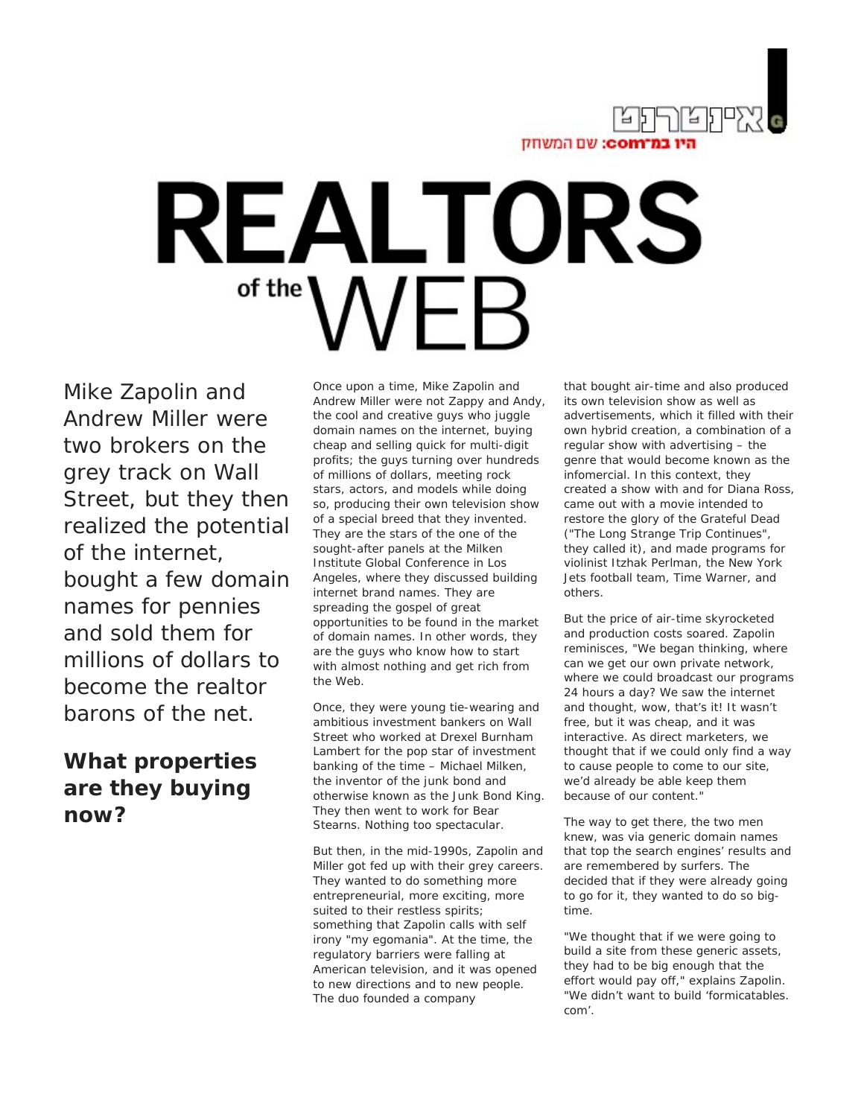

# **REALTORS** of the

Mike Zapolin and Andrew Miller were two brokers on the grey track on Wall Street, but they then realized the potential of the internet, bought a few domain names for pennies and sold them for millions of dollars to become the realtor barons of the net.

## **What properties are they buying now?**

Once upon a time, Mike Zapolin and Andrew Miller were not Zappy and Andy, the cool and creative guys who juggle domain names on the internet, buying cheap and selling quick for multi-digit profits; the guys turning over hundreds of millions of dollars, meeting rock stars, actors, and models while doing so, producing their own television show of a special breed that they invented. They are the stars of the one of the sought-after panels at the Milken Institute Global Conference in Los Angeles, where they discussed building internet brand names. They are spreading the gospel of great opportunities to be found in the market of domain names. In other words, they are the guys who know how to start with almost nothing and get rich from the Web.

Once, they were young tie-wearing and ambitious investment bankers on Wall Street who worked at Drexel Burnham Lambert for the pop star of investment banking of the time – Michael Milken, the inventor of the junk bond and otherwise known as the Junk Bond King. They then went to work for Bear Stearns. Nothing too spectacular.

But then, in the mid-1990s, Zapolin and Miller got fed up with their grey careers. They wanted to do something more entrepreneurial, more exciting, more suited to their restless spirits; something that Zapolin calls with self irony "my egomania". At the time, the regulatory barriers were falling at American television, and it was opened to new directions and to new people. The duo founded a company

that bought air-time and also produced its own television show as well as advertisements, which it filled with their own hybrid creation, a combination of a regular show with advertising – the genre that would become known as the infomercial. In this context, they created a show with and for Diana Ross, came out with a movie intended to restore the glory of the Grateful Dead ("The Long Strange Trip Continues", they called it), and made programs for violinist Itzhak Perlman, the New York Jets football team, Time Warner, and others.

But the price of air-time skyrocketed and production costs soared. Zapolin reminisces, "We began thinking, where can we get our own private network, where we could broadcast our programs 24 hours a day? We saw the internet and thought, wow, that's it! It wasn't free, but it was cheap, and it was interactive. As direct marketers, we thought that if we could only find a way to cause people to come to our site, we'd already be able keep them because of our content."

The way to get there, the two men knew, was via generic domain names that top the search engines' results and are remembered by surfers. The decided that if they were already going to go for it, they wanted to do so bigtime.

"We thought that if we were going to build a site from these generic assets, they had to be big enough that the effort would pay off," explains Zapolin. "We didn't want to build 'formicatables. com'.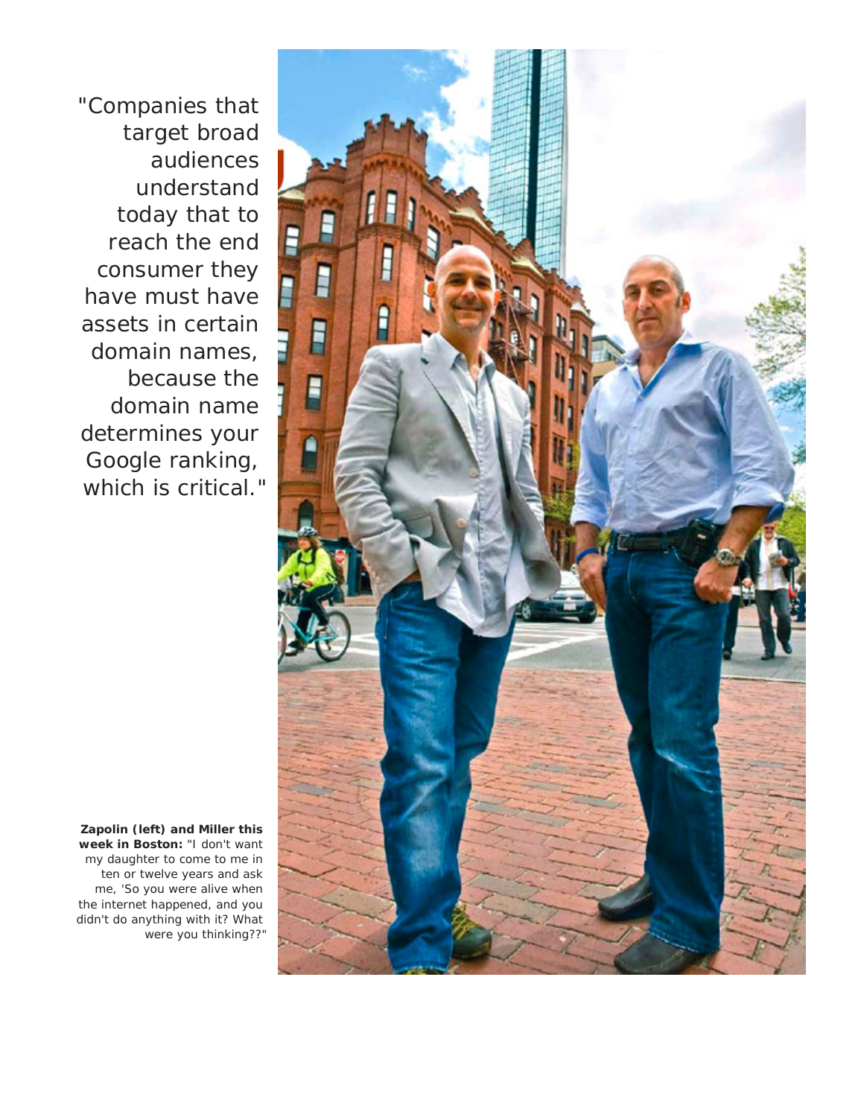"Companies that target broad audiences understand today that to reach the end consumer they have must have assets in certain domain names, because the domain name determines your Google ranking, which is critical."



**Zapolin (left) and Miller this week in Boston:** "I don't want my daughter to come to me in ten or twelve years and ask me, 'So you were alive when the internet happened, and you didn't do anything with it? What were you thinking??"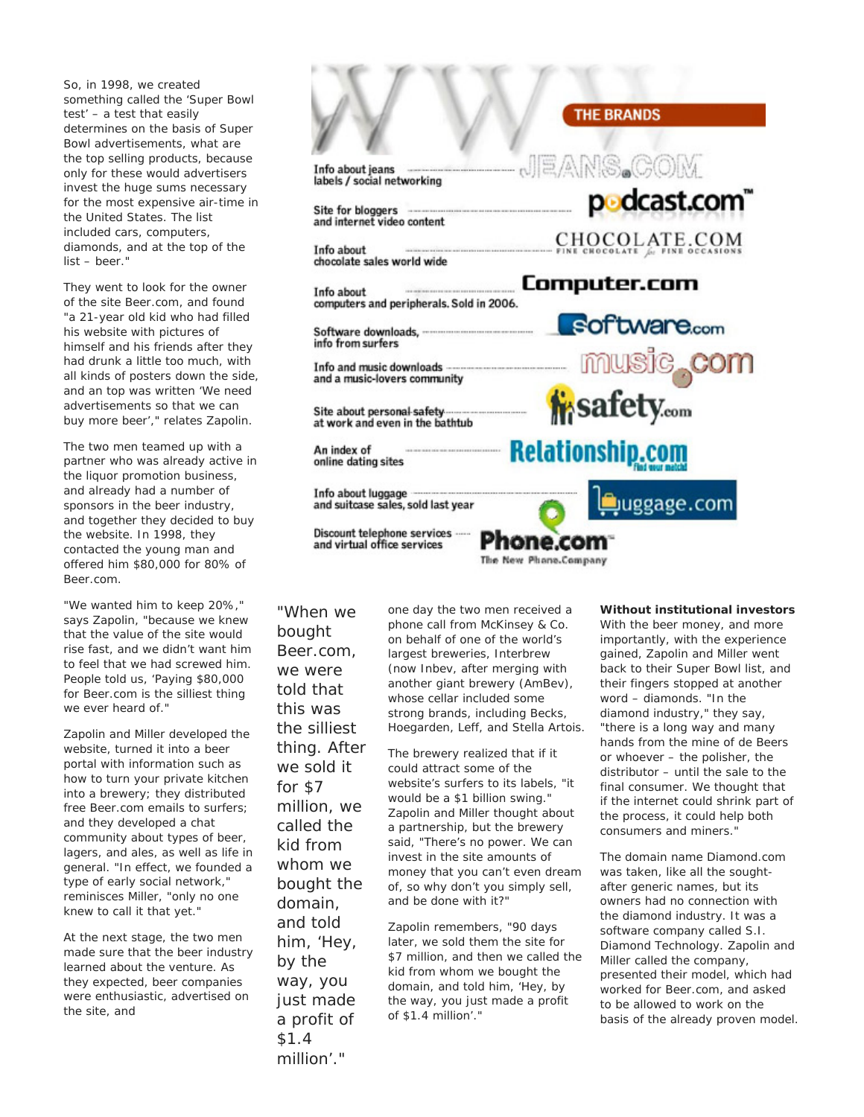So, in 1998, we created something called the 'Super Bowl test' – a test that easily determines on the basis of Super Bowl advertisements, what are the top selling products, because only for these would advertisers invest the huge sums necessary for the most expensive air-time in the United States. The list included cars, computers, diamonds, and at the top of the list – beer."

They went to look for the owner of the site Beer.com, and found "a 21-year old kid who had filled his website with pictures of himself and his friends after they had drunk a little too much, with all kinds of posters down the side, and an top was written 'We need advertisements so that we can buy more beer'," relates Zapolin.

The two men teamed up with a partner who was already active in the liquor promotion business, and already had a number of sponsors in the beer industry, and together they decided to buy the website. In 1998, they contacted the young man and offered him \$80,000 for 80% of Beer.com.

"We wanted him to keep 20%," says Zapolin, "because we knew that the value of the site would rise fast, and we didn't want him to feel that we had screwed him. People told us, 'Paying \$80,000 for Beer.com is the silliest thing we ever heard of."

Zapolin and Miller developed the website, turned it into a beer portal with information such as how to turn your private kitchen into a brewery; they distributed free Beer.com emails to surfers; and they developed a chat community about types of beer, lagers, and ales, as well as life in general. "In effect, we founded a type of early social network," reminisces Miller, "only no one knew to call it that yet."

At the next stage, the two men made sure that the beer industry learned about the venture. As they expected, beer companies were enthusiastic, advertised on the site, and

Info about jeans labels / social networking

Site for bloggers and internet video content

Info about chocolate sales world wide

Info about computers and peripherals. Sold in 2006.

Software downloads, info from surfers

Info and music downloads and a music-lovers community

Site about personal safety at work and even in the bathtub

An index of online dating sites

Info about luggage and suitcase sales, sold last year

Discount telephone services and virtual office services

*"When we bought Beer.com, we were told that this was the silliest thing. After we sold it for \$7 million, we called the kid from whom we bought the domain, and told him, 'Hey, by the way, you just made a profit of \$1.4 million'."*

one day the two men received a phone call from McKinsey & Co. on behalf of one of the world's largest breweries, Interbrew (now Inbev, after merging with another giant brewery (AmBev), whose cellar included some strong brands, including Becks, Hoegarden, Leff, and Stella Artois.

The brewery realized that if it could attract some of the website's surfers to its labels, "it would be a \$1 billion swing." Zapolin and Miller thought about a partnership, but the brewery said, "There's no power. We can invest in the site amounts of money that you can't even dream of, so why don't you simply sell, and be done with it?"

Zapolin remembers, "90 days later, we sold them the site for \$7 million, and then we called the kid from whom we bought the domain, and told him, 'Hey, by the way, you just made a profit of \$1.4 million'."

### **THE BRANDS**

NS.COR  $\equiv$ /a\ p**odcast.com**™ CHOCOLATE.COM Computer.com software.com **i**safety.com **Relationship.com** Juggage.com hone.com

The New Phane.Company

**Without institutional investors**  With the beer money, and more importantly, with the experience gained, Zapolin and Miller went back to their Super Bowl list, and their fingers stopped at another word – diamonds. "In the diamond industry," they say, "there is a long way and many hands from the mine of de Beers or whoever – the polisher, the distributor – until the sale to the final consumer. We thought that if the internet could shrink part of the process, it could help both consumers and miners."

The domain name Diamond.com was taken, like all the soughtafter generic names, but its owners had no connection with the diamond industry. It was a software company called S.I. Diamond Technology. Zapolin and Miller called the company, presented their model, which had worked for Beer.com, and asked to be allowed to work on the basis of the already proven model.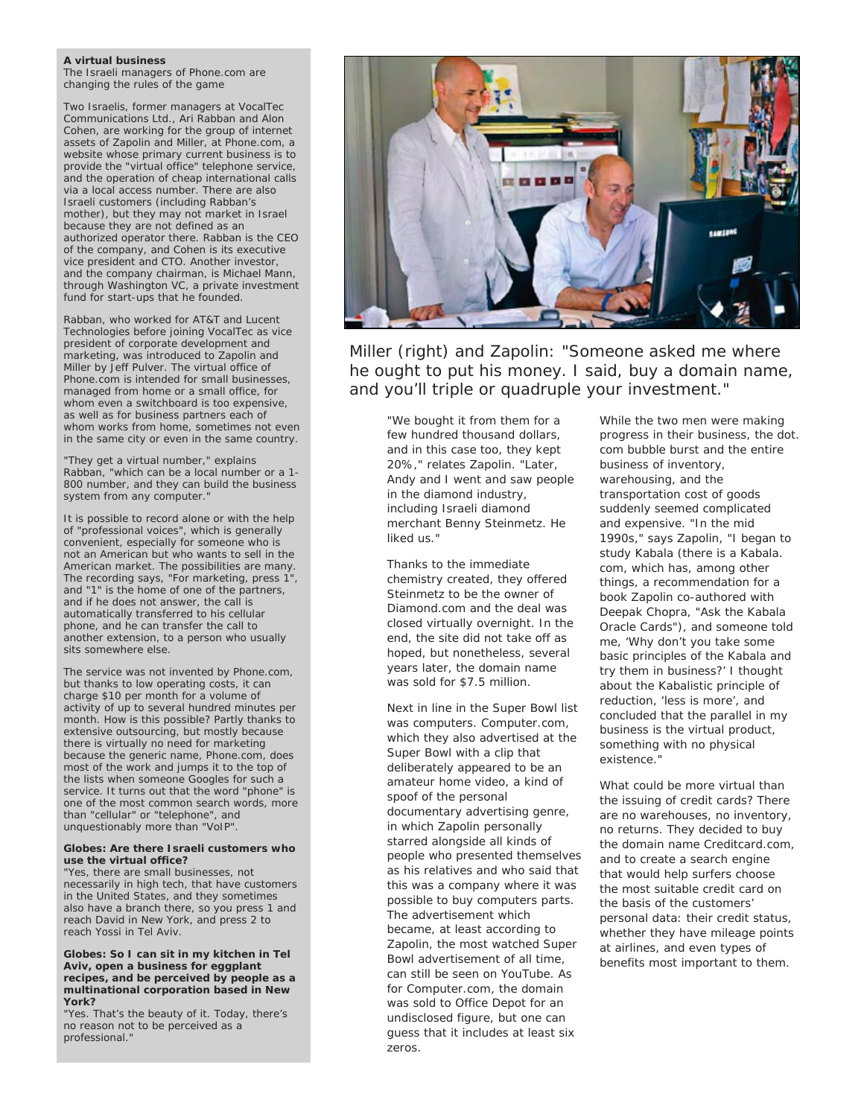#### **A virtual business**

The Israeli managers of Phone.com are changing the rules of the game

Two Israelis, former managers at VocalTec Communications Ltd., Ari Rabban and Alon Cohen, are working for the group of internet assets of Zapolin and Miller, at Phone.com, a website whose primary current business is to provide the "virtual office" telephone service, and the operation of cheap international calls via a local access number. There are also Israeli customers (including Rabban's mother), but they may not market in Israel because they are not defined as an authorized operator there. Rabban is the CEO of the company, and Cohen is its executive vice president and CTO. Another investor, and the company chairman, is Michael Mann, through Washington VC, a private investment fund for start-ups that he founded.

Rabban, who worked for AT&T and Lucent Technologies before joining VocalTec as vice president of corporate development and marketing, was introduced to Zapolin and Miller by Jeff Pulver. The virtual office of Phone.com is intended for small businesses, managed from home or a small office, for whom even a switchboard is too expensive, as well as for business partners each of whom works from home, sometimes not even in the same city or even in the same country.

"They get a virtual number," explains Rabban, "which can be a local number or a 1- 800 number, and they can build the business system from any computer.'

It is possible to record alone or with the help of "professional voices", which is generally convenient, especially for someone who is not an American but who wants to sell in the American market. The possibilities are many. The recording says, "For marketing, press 1", and "1" is the home of one of the partners, and if he does not answer, the call is automatically transferred to his cellular phone, and he can transfer the call to another extension, to a person who usually sits somewhere else.

The service was not invented by Phone.com, but thanks to low operating costs, it can charge \$10 per month for a volume of activity of up to several hundred minutes per month. How is this possible? Partly thanks to extensive outsourcing, but mostly because there is virtually no need for marketing because the generic name, Phone.com, does most of the work and jumps it to the top of the lists when someone Googles for such a service. It turns out that the word "phone" is one of the most common search words, more than "cellular" or "telephone", and unquestionably more than "VoIP".

#### **Globes: Are there Israeli customers who use the virtual office?**

"Yes, there are small businesses, not necessarily in high tech, that have customers in the United States, and they sometimes also have a branch there, so you press 1 and reach David in New York, and press 2 to reach Yossi in Tel Aviv.

**Globes: So I can sit in my kitchen in Tel Aviv, open a business for eggplant recipes, and be perceived by people as a multinational corporation based in New York?**

"Yes. That's the beauty of it. Today, there's no reason not to be perceived as a professional."



*Miller (right) and Zapolin: "Someone asked me where he ought to put his money. I said, buy a domain name, and you'll triple or quadruple your investment."*

"We bought it from them for a few hundred thousand dollars, and in this case too, they kept 20%," relates Zapolin. "Later, Andy and I went and saw people in the diamond industry, including Israeli diamond merchant Benny Steinmetz. He liked us."

Thanks to the immediate chemistry created, they offered Steinmetz to be the owner of Diamond.com and the deal was closed virtually overnight. In the end, the site did not take off as hoped, but nonetheless, several years later, the domain name was sold for \$7.5 million.

Next in line in the Super Bowl list was computers. Computer.com, which they also advertised at the Super Bowl with a clip that deliberately appeared to be an amateur home video, a kind of spoof of the personal documentary advertising genre, in which Zapolin personally starred alongside all kinds of people who presented themselves as his relatives and who said that this was a company where it was possible to buy computers parts. The advertisement which became, at least according to Zapolin, the most watched Super Bowl advertisement of all time, can still be seen on YouTube. As for Computer.com, the domain was sold to Office Depot for an undisclosed figure, but one can guess that it includes at least six zeros.

While the two men were making progress in their business, the dot. com bubble burst and the entire business of inventory, warehousing, and the transportation cost of goods suddenly seemed complicated and expensive. "In the mid 1990s," says Zapolin, "I began to study Kabala (there is a Kabala. com, which has, among other things, a recommendation for a book Zapolin co-authored with Deepak Chopra, "Ask the Kabala Oracle Cards"), and someone told me, 'Why don't you take some basic principles of the Kabala and try them in business?' I thought about the Kabalistic principle of reduction, 'less is more', and concluded that the parallel in my business is the virtual product, something with no physical existence."

What could be more virtual than the issuing of credit cards? There are no warehouses, no inventory, no returns. They decided to buy the domain name Creditcard.com, and to create a search engine that would help surfers choose the most suitable credit card on the basis of the customers' personal data: their credit status, whether they have mileage points at airlines, and even types of benefits most important to them.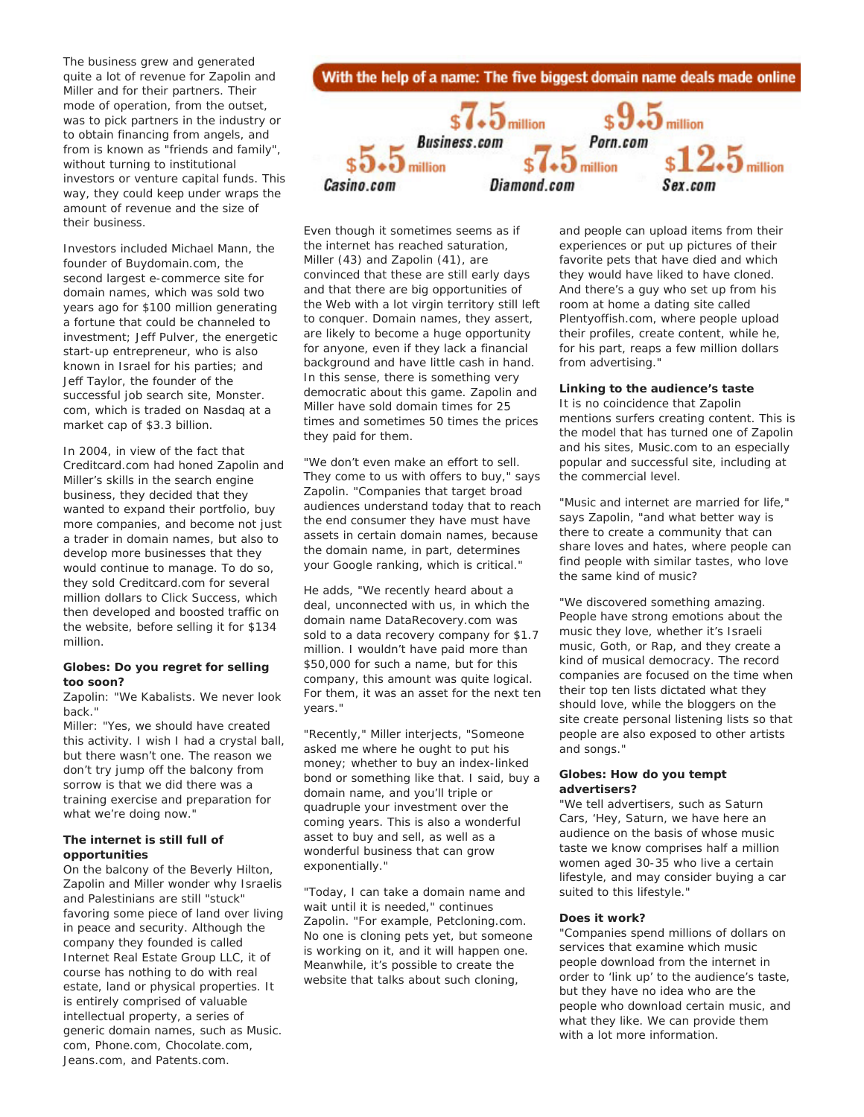The business grew and generated quite a lot of revenue for Zapolin and Miller and for their partners. Their mode of operation, from the outset, was to pick partners in the industry or to obtain financing from angels, and from is known as "friends and family", without turning to institutional investors or venture capital funds. This way, they could keep under wraps the amount of revenue and the size of their business.

Investors included Michael Mann, the founder of Buydomain.com, the second largest e-commerce site for domain names, which was sold two years ago for \$100 million generating a fortune that could be channeled to investment; Jeff Pulver, the energetic start-up entrepreneur, who is also known in Israel for his parties; and Jeff Taylor, the founder of the successful job search site, Monster. com, which is traded on Nasdaq at a market cap of \$3.3 billion.

In 2004, in view of the fact that Creditcard.com had honed Zapolin and Miller's skills in the search engine business, they decided that they wanted to expand their portfolio, buy more companies, and become not just a trader in domain names, but also to develop more businesses that they would continue to manage. To do so, they sold Creditcard.com for several million dollars to Click Success, which then developed and boosted traffic on the website, before selling it for \$134 million.

#### **Globes: Do you regret for selling too soon?**

Zapolin: "We Kabalists. We never look back."

Miller: "Yes, we should have created this activity. I wish I had a crystal ball, but there wasn't one. The reason we don't try jump off the balcony from sorrow is that we did there was a training exercise and preparation for what we're doing now."

#### **The internet is still full of opportunities**

On the balcony of the Beverly Hilton, Zapolin and Miller wonder why Israelis and Palestinians are still "stuck" favoring some piece of land over living in peace and security. Although the company they founded is called Internet Real Estate Group LLC, it of course has nothing to do with real estate, land or physical properties. It is entirely comprised of valuable intellectual property, a series of generic domain names, such as Music. com, Phone.com, Chocolate.com, Jeans.com, and Patents.com.



Even though it sometimes seems as if the internet has reached saturation, Miller (43) and Zapolin (41), are convinced that these are still early days and that there are big opportunities of the Web with a lot virgin territory still left to conquer. Domain names, they assert, are likely to become a huge opportunity for anyone, even if they lack a financial background and have little cash in hand. In this sense, there is something very democratic about this game. Zapolin and Miller have sold domain times for 25 times and sometimes 50 times the prices they paid for them.

"We don't even make an effort to sell. They come to us with offers to buy," says Zapolin. "Companies that target broad audiences understand today that to reach the end consumer they have must have assets in certain domain names, because the domain name, in part, determines your Google ranking, which is critical."

He adds, "We recently heard about a deal, unconnected with us, in which the domain name DataRecovery.com was sold to a data recovery company for \$1.7 million. I wouldn't have paid more than \$50,000 for such a name, but for this company, this amount was quite logical. For them, it was an asset for the next ten years."

"Recently," Miller interjects, "Someone asked me where he ought to put his money; whether to buy an index-linked bond or something like that. I said, buy a domain name, and you'll triple or quadruple your investment over the coming years. This is also a wonderful asset to buy and sell, as well as a wonderful business that can grow exponentially."

"Today, I can take a domain name and wait until it is needed," continues Zapolin. "For example, Petcloning.com. No one is cloning pets yet, but someone is working on it, and it will happen one. Meanwhile, it's possible to create the website that talks about such cloning,

and people can upload items from their experiences or put up pictures of their favorite pets that have died and which they would have liked to have cloned. And there's a guy who set up from his room at home a dating site called Plentyoffish.com, where people upload their profiles, create content, while he, for his part, reaps a few million dollars from advertising."

#### **Linking to the audience's taste**

It is no coincidence that Zapolin mentions surfers creating content. This is the model that has turned one of Zapolin and his sites, Music.com to an especially popular and successful site, including at the commercial level.

"Music and internet are married for life," says Zapolin, "and what better way is there to create a community that can share loves and hates, where people can find people with similar tastes, who love the same kind of music?

"We discovered something amazing. People have strong emotions about the music they love, whether it's Israeli music, Goth, or Rap, and they create a kind of musical democracy. The record companies are focused on the time when their top ten lists dictated what they should love, while the bloggers on the site create personal listening lists so that people are also exposed to other artists and songs."

#### **Globes: How do you tempt advertisers?**

"We tell advertisers, such as Saturn Cars, 'Hey, Saturn, we have here an audience on the basis of whose music taste we know comprises half a million women aged 30-35 who live a certain lifestyle, and may consider buying a car suited to this lifestyle."

#### **Does it work?**

"Companies spend millions of dollars on services that examine which music people download from the internet in order to 'link up' to the audience's taste, but they have no idea who are the people who download certain music, and what they like. We can provide them with a lot more information.